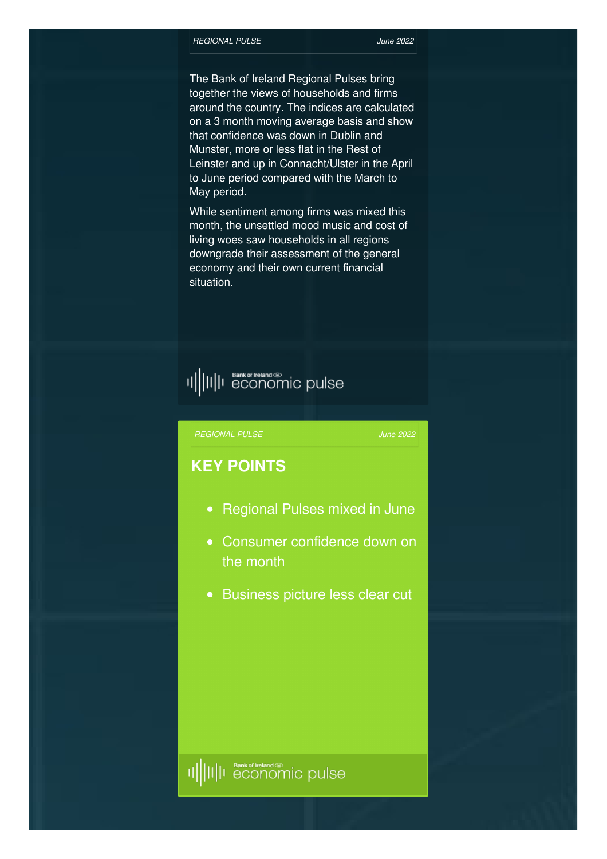The Bank of Ireland Regional Pulses bring together the views of households and firms around the country. The indices are calculated on a 3 month moving average basis and show that confidence was down in Dublin and Munster, more or less flat in the Rest of Leinster and up in Connacht/Ulster in the April to June period compared with the March to May period.

While sentiment among firms was mixed this month, the unsettled mood music and cost of living woes saw households in all regions downgrade their assessment of the general economy and their own current financial situation.

## 

#### *[REGIONAL](http://www.bankofirelandeconomicpulse.com/regional/#overview) PULSE*

*June 2022*

### **KEY POINTS**

- Regional Pulses mixed in June
- Consumer confidence down on the month
- Business picture less clear cut

### <sup>Bank of Ireland Co</sup>pulse 배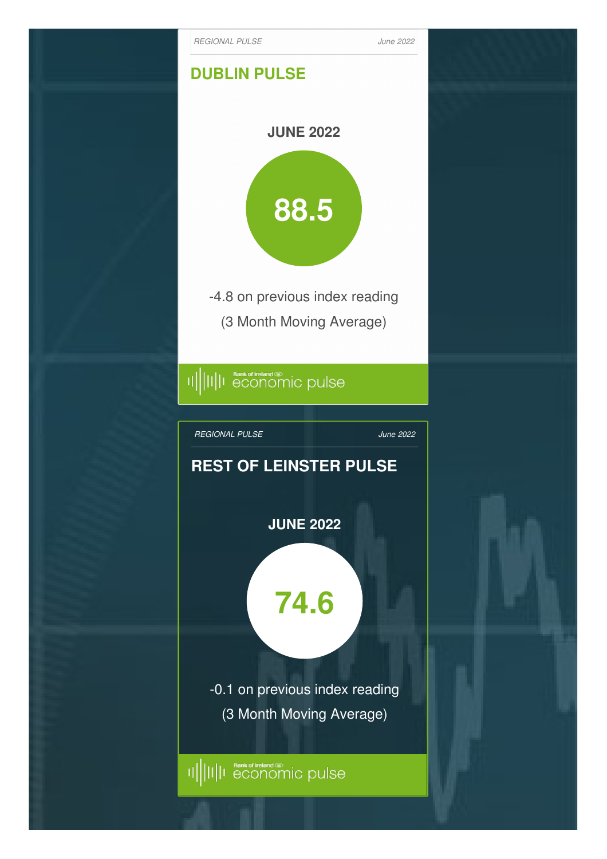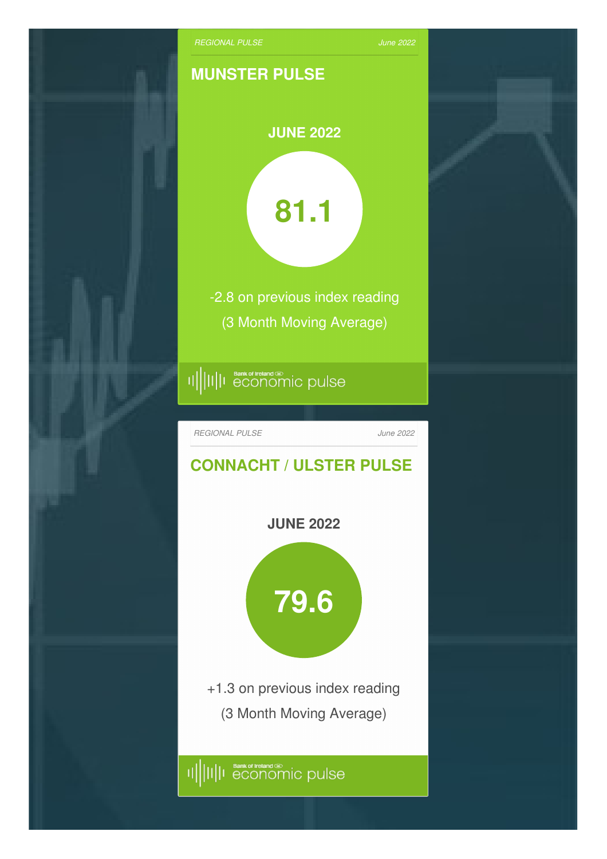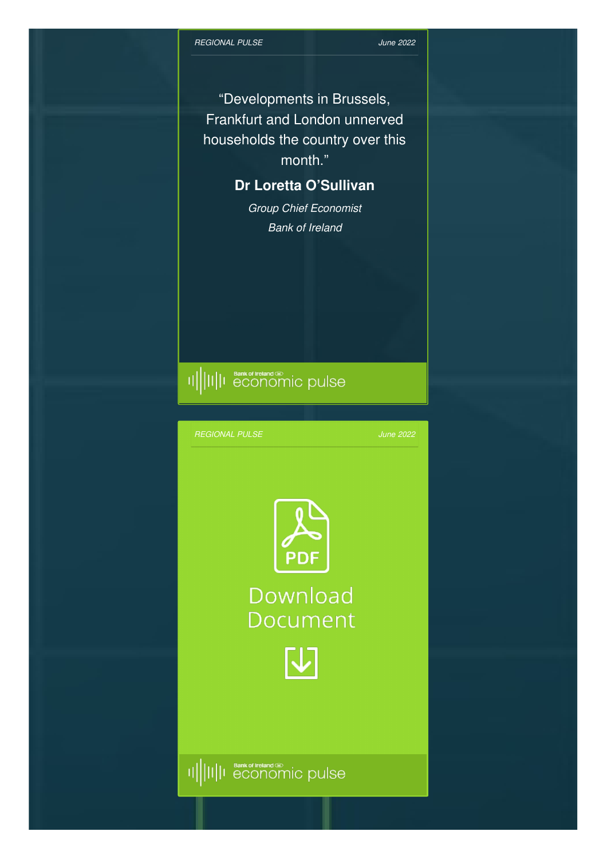"Developments in Brussels, Frankfurt and London unnerved households the country over this month."

## **Dr Loretta O'Sullivan**

*Group Chief Economist Bank of Ireland*

# 

*[REGIONAL](http://www.bankofirelandeconomicpulse.com/regional/#overview) PULSE*

*June 2022*



Download **Document** 

M